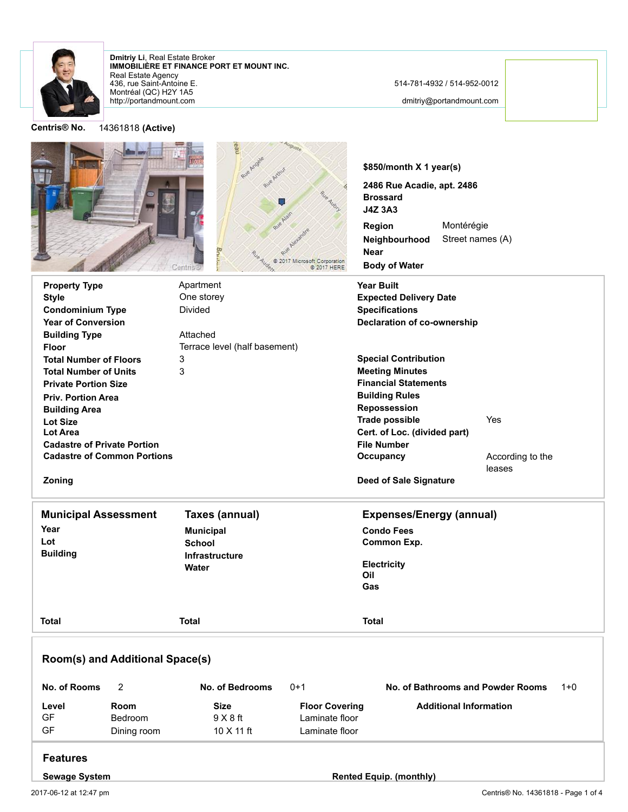

**Centris® No.** 14361818 **(Active)**

http://portandmount.com Montréal (QC) H2Y 1A5 436, rue Saint-Antoine E. Real Estate Agency **IMMOBILIÈRE ET FINANCE PORT ET MOUNT INC. Dmitriy Li**, Real Estate Broker

514-781-4932 / 514-952-0012

dmitriy@portandmount.com

**\$850/month X 1 year(s) 2486 Rue Acadie, apt. 2486 Brossard J4Z 3A3 Region** Montérégie Street names (A) **Neighbourhood Near** © 2017 Microsoft Corporation<br>↓ © 2017 HERE **Body of Water** Centris **Property Type CONFIDENT Apartment CONFIDENT CONFIDENT Apartment Year Built Style** One storey **Expected Delivery Date** Divided **Condominium Type Specifications Year of Conversion Declaration of co-ownership** Attached **Building Type** Terrace level (half basement) **Floor Special Contribution Total Number of Floors** 3 3 **Meeting Minutes Total Number of Units Financial Statements Private Portion Size Building Rules Priv. Portion Area Repossession Building Area Trade possible** Yes **Lot Size Lot Area Cert. of Loc. (divided part) Cadastre of Private Portion File Number Cadastre of Common Portions Occupancy** According to the leases **Zoning Deed of Sale Signature Municipal Assessment Taxes (annual) Expenses/Energy (annual) Year Municipal Condo Fees Lot Common Exp. School Building Infrastructure Electricity Water Oil Gas Total Total Total Room(s) and Additional Space(s) No. of Rooms** 2 **No. of Bedrooms** 0+1 **No. of Bathrooms and Powder Rooms** 1+0 **Level Room Size Floor Covering Additional Information** GF Bedroom 9 X 8 ft Laminate floor GF Dining room 10 X 11 ft Laminate floor

## **Features**

**Sewage System Rented Equip. (monthly)**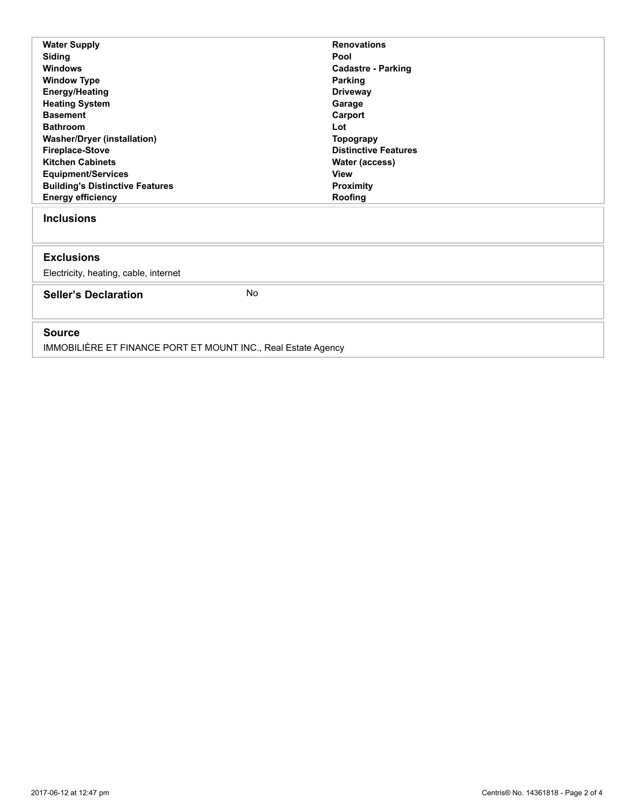| <b>Water Supply</b>                    |           | <b>Renovations</b>          |
|----------------------------------------|-----------|-----------------------------|
| Siding                                 |           | Pool                        |
| <b>Windows</b>                         |           | <b>Cadastre - Parking</b>   |
| <b>Window Type</b>                     |           | Parking                     |
| <b>Energy/Heating</b>                  |           | <b>Driveway</b>             |
| <b>Heating System</b>                  |           | Garage                      |
| <b>Basement</b>                        |           | Carport                     |
| <b>Bathroom</b>                        |           | Lot                         |
| <b>Washer/Dryer (installation)</b>     |           | <b>Topograpy</b>            |
| <b>Fireplace-Stove</b>                 |           | <b>Distinctive Features</b> |
| <b>Kitchen Cabinets</b>                |           | Water (access)              |
| <b>Equipment/Services</b>              |           | <b>View</b>                 |
| <b>Building's Distinctive Features</b> |           | <b>Proximity</b>            |
| <b>Energy efficiency</b>               |           | Roofing                     |
| <b>Inclusions</b>                      |           |                             |
| <b>Exclusions</b>                      |           |                             |
| Electricity, heating, cable, internet  |           |                             |
| <b>Seller's Declaration</b>            | <b>No</b> |                             |
| <b>Source</b>                          |           |                             |

IMMOBILIÈRE ET FINANCE PORT ET MOUNT INC., Real Estate Agency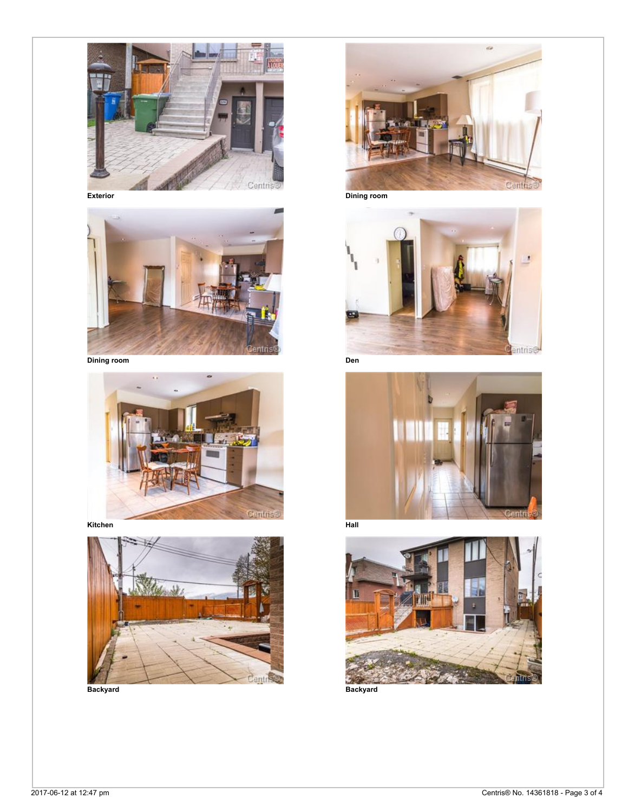